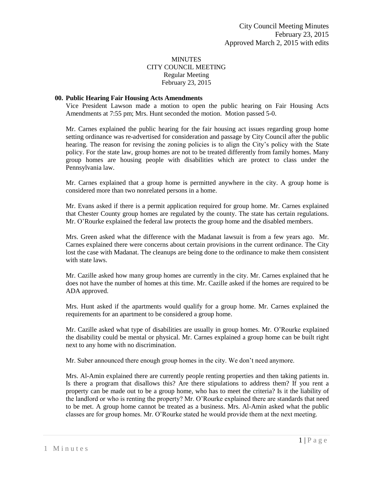## **MINUTES** CITY COUNCIL MEETING Regular Meeting February 23, 2015

#### **00. Public Hearing Fair Housing Acts Amendments**

Vice President Lawson made a motion to open the public hearing on Fair Housing Acts Amendments at 7:55 pm; Mrs. Hunt seconded the motion. Motion passed 5-0.

Mr. Carnes explained the public hearing for the fair housing act issues regarding group home setting ordinance was re-advertised for consideration and passage by City Council after the public hearing. The reason for revising the zoning policies is to align the City's policy with the State policy. For the state law, group homes are not to be treated differently from family homes. Many group homes are housing people with disabilities which are protect to class under the Pennsylvania law.

Mr. Carnes explained that a group home is permitted anywhere in the city. A group home is considered more than two nonrelated persons in a home.

Mr. Evans asked if there is a permit application required for group home. Mr. Carnes explained that Chester County group homes are regulated by the county. The state has certain regulations. Mr. O'Rourke explained the federal law protects the group home and the disabled members.

Mrs. Green asked what the difference with the Madanat lawsuit is from a few years ago. Mr. Carnes explained there were concerns about certain provisions in the current ordinance. The City lost the case with Madanat. The cleanups are being done to the ordinance to make them consistent with state laws.

Mr. Cazille asked how many group homes are currently in the city. Mr. Carnes explained that he does not have the number of homes at this time. Mr. Cazille asked if the homes are required to be ADA approved.

Mrs. Hunt asked if the apartments would qualify for a group home. Mr. Carnes explained the requirements for an apartment to be considered a group home.

Mr. Cazille asked what type of disabilities are usually in group homes. Mr. O'Rourke explained the disability could be mental or physical. Mr. Carnes explained a group home can be built right next to any home with no discrimination.

Mr. Suber announced there enough group homes in the city. We don't need anymore.

Mrs. Al-Amin explained there are currently people renting properties and then taking patients in. Is there a program that disallows this? Are there stipulations to address them? If you rent a property can be made out to be a group home, who has to meet the criteria? Is it the liability of the landlord or who is renting the property? Mr. O'Rourke explained there are standards that need to be met. A group home cannot be treated as a business. Mrs. Al-Amin asked what the public classes are for group homes. Mr. O'Rourke stated he would provide them at the next meeting.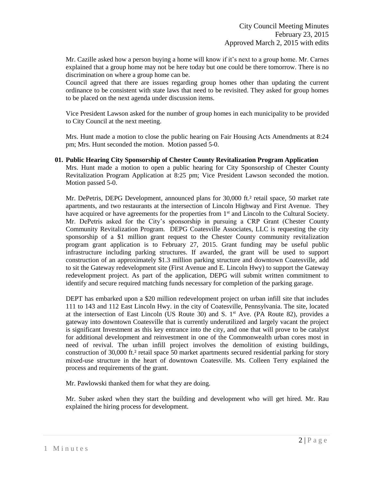Mr. Cazille asked how a person buying a home will know if it's next to a group home. Mr. Carnes explained that a group home may not be here today but one could be there tomorrow. There is no discrimination on where a group home can be.

Council agreed that there are issues regarding group homes other than updating the current ordinance to be consistent with state laws that need to be revisited. They asked for group homes to be placed on the next agenda under discussion items.

Vice President Lawson asked for the number of group homes in each municipality to be provided to City Council at the next meeting.

Mrs. Hunt made a motion to close the public hearing on Fair Housing Acts Amendments at 8:24 pm; Mrs. Hunt seconded the motion. Motion passed 5-0.

**01. Public Hearing City Sponsorship of Chester County Revitalization Program Application** Mrs. Hunt made a motion to open a public hearing for City Sponsorship of Chester County Revitalization Program Application at 8:25 pm; Vice President Lawson seconded the motion. Motion passed 5-0.

Mr. DePetris, DEPG Development, announced plans for 30,000 ft.<sup>2</sup> retail space, 50 market rate apartments, and two restaurants at the intersection of Lincoln Highway and First Avenue. They have acquired or have agreements for the properties from  $1<sup>st</sup>$  and Lincoln to the Cultural Society. Mr. DePetris asked for the City's sponsorship in pursuing a CRP Grant (Chester County Community Revitalization Program. DEPG Coatesville Associates, LLC is requesting the city sponsorship of a \$1 million grant request to the Chester County community revitalization program grant application is to February 27, 2015. Grant funding may be useful public infrastructure including parking structures. If awarded, the grant will be used to support construction of an approximately \$1.3 million parking structure and downtown Coatesville, add to sit the Gateway redevelopment site (First Avenue and E. Lincoln Hwy) to support the Gateway redevelopment project. As part of the application, DEPG will submit written commitment to identify and secure required matching funds necessary for completion of the parking garage.

DEPT has embarked upon a \$20 million redevelopment project on urban infill site that includes 111 to 143 and 112 East Lincoln Hwy. in the city of Coatesville, Pennsylvania. The site, located at the intersection of East Lincoln (US Route 30) and S.  $1<sup>st</sup>$  Ave. (PA Route 82), provides a gateway into downtown Coatesville that is currently underutilized and largely vacant the project is significant Investment as this key entrance into the city, and one that will prove to be catalyst for additional development and reinvestment in one of the Commonwealth urban cores most in need of revival. The urban infill project involves the demolition of existing buildings, construction of 30,000 ft.<sup>2</sup> retail space 50 market apartments secured residential parking for story mixed-use structure in the heart of downtown Coatesville. Ms. Colleen Terry explained the process and requirements of the grant.

Mr. Pawlowski thanked them for what they are doing.

Mr. Suber asked when they start the building and development who will get hired. Mr. Rau explained the hiring process for development.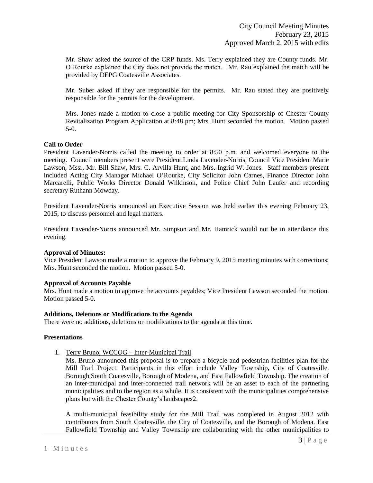Mr. Shaw asked the source of the CRP funds. Ms. Terry explained they are County funds. Mr. O'Rourke explained the City does not provide the match. Mr. Rau explained the match will be provided by DEPG Coatesville Associates.

Mr. Suber asked if they are responsible for the permits. Mr. Rau stated they are positively responsible for the permits for the development.

Mrs. Jones made a motion to close a public meeting for City Sponsorship of Chester County Revitalization Program Application at 8:48 pm; Mrs. Hunt seconded the motion. Motion passed 5-0.

### **Call to Order**

President Lavender-Norris called the meeting to order at 8:50 p.m. and welcomed everyone to the meeting. Council members present were President Linda Lavender-Norris, Council Vice President Marie Lawson, Mssr, Mr. Bill Shaw, Mrs. C. Arvilla Hunt, and Mrs. Ingrid W. Jones. Staff members present included Acting City Manager Michael O'Rourke, City Solicitor John Carnes, Finance Director John Marcarelli, Public Works Director Donald Wilkinson, and Police Chief John Laufer and recording secretary Ruthann Mowday.

President Lavender-Norris announced an Executive Session was held earlier this evening February 23, 2015, to discuss personnel and legal matters.

President Lavender-Norris announced Mr. Simpson and Mr. Hamrick would not be in attendance this evening.

#### **Approval of Minutes:**

Vice President Lawson made a motion to approve the February 9, 2015 meeting minutes with corrections; Mrs. Hunt seconded the motion. Motion passed 5-0.

#### **Approval of Accounts Payable**

Mrs. Hunt made a motion to approve the accounts payables; Vice President Lawson seconded the motion. Motion passed 5-0.

#### **Additions, Deletions or Modifications to the Agenda**

There were no additions, deletions or modifications to the agenda at this time.

### **Presentations**

1. Terry Bruno, WCCOG – Inter-Municipal Trail

Ms. Bruno announced this proposal is to prepare a bicycle and pedestrian facilities plan for the Mill Trail Project. Participants in this effort include Valley Township, City of Coatesville, Borough South Coatesville, Borough of Modena, and East Fallowfield Township. The creation of an inter-municipal and inter-connected trail network will be an asset to each of the partnering municipalities and to the region as a whole. It is consistent with the municipalities comprehensive plans but with the Chester County's landscapes2.

A multi-municipal feasibility study for the Mill Trail was completed in August 2012 with contributors from South Coatesville, the City of Coatesville, and the Borough of Modena. East Fallowfield Township and Valley Township are collaborating with the other municipalities to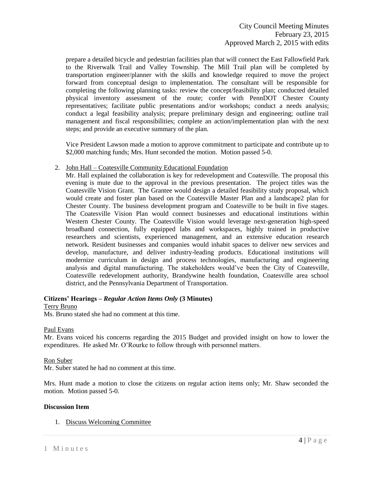prepare a detailed bicycle and pedestrian facilities plan that will connect the East Fallowfield Park to the Riverwalk Trail and Valley Township. The Mill Trail plan will be completed by transportation engineer/planner with the skills and knowledge required to move the project forward from conceptual design to implementation. The consultant will be responsible for completing the following planning tasks: review the concept/feasibility plan; conducted detailed physical inventory assessment of the route; confer with PennDOT Chester County representatives; facilitate public presentations and/or workshops; conduct a needs analysis; conduct a legal feasibility analysis; prepare preliminary design and engineering; outline trail management and fiscal responsibilities; complete an action/implementation plan with the next steps; and provide an executive summary of the plan.

Vice President Lawson made a motion to approve commitment to participate and contribute up to \$2,000 matching funds; Mrs. Hunt seconded the motion. Motion passed 5-0.

### 2. John Hall – Coatesville Community Educational Foundation

Mr. Hall explained the collaboration is key for redevelopment and Coatesville. The proposal this evening is mute due to the approval in the previous presentation. The project titles was the Coatesville Vision Grant. The Grantee would design a detailed feasibility study proposal, which would create and foster plan based on the Coatesville Master Plan and a landscape2 plan for Chester County. The business development program and Coatesville to be built in five stages. The Coatesville Vision Plan would connect businesses and educational institutions within Western Chester County. The Coatesville Vision would leverage next-generation high-speed broadband connection, fully equipped labs and workspaces, highly trained in productive researchers and scientists, experienced management, and an extensive education research network. Resident businesses and companies would inhabit spaces to deliver new services and develop, manufacture, and deliver industry-leading products. Educational institutions will modernize curriculum in design and process technologies, manufacturing and engineering analysis and digital manufacturing. The stakeholders would've been the City of Coatesville, Coatesville redevelopment authority, Brandywine health foundation, Coatesville area school district, and the Pennsylvania Department of Transportation.

### **Citizens' Hearings –** *Regular Action Items Only* **(3 Minutes)**

### Terry Bruno

Ms. Bruno stated she had no comment at this time.

#### Paul Evans

Mr. Evans voiced his concerns regarding the 2015 Budget and provided insight on how to lower the expenditures. He asked Mr. O'Rourke to follow through with personnel matters.

### Ron Suber

Mr. Suber stated he had no comment at this time.

Mrs. Hunt made a motion to close the citizens on regular action items only; Mr. Shaw seconded the motion. Motion passed 5-0.

### **Discussion Item**

1. Discuss Welcoming Committee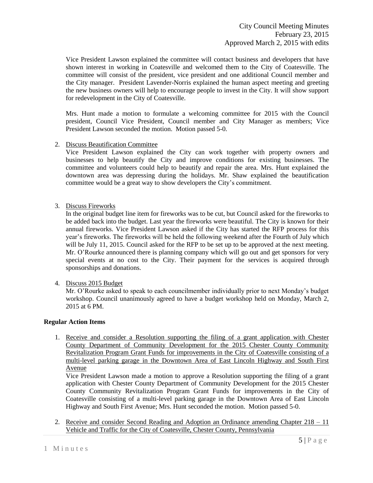Vice President Lawson explained the committee will contact business and developers that have shown interest in working in Coatesville and welcomed them to the City of Coatesville. The committee will consist of the president, vice president and one additional Council member and the City manager. President Lavender-Norris explained the human aspect meeting and greeting the new business owners will help to encourage people to invest in the City. It will show support for redevelopment in the City of Coatesville.

Mrs. Hunt made a motion to formulate a welcoming committee for 2015 with the Council president, Council Vice President, Council member and City Manager as members; Vice President Lawson seconded the motion. Motion passed 5-0.

2. Discuss Beautification Committee

Vice President Lawson explained the City can work together with property owners and businesses to help beautify the City and improve conditions for existing businesses. The committee and volunteers could help to beautify and repair the area. Mrs. Hunt explained the downtown area was depressing during the holidays. Mr. Shaw explained the beautification committee would be a great way to show developers the City's commitment.

3. Discuss Fireworks

In the original budget line item for fireworks was to be cut, but Council asked for the fireworks to be added back into the budget. Last year the fireworks were beautiful. The City is known for their annual fireworks. Vice President Lawson asked if the City has started the RFP process for this year's fireworks. The fireworks will be held the following weekend after the Fourth of July which will be July 11, 2015. Council asked for the RFP to be set up to be approved at the next meeting. Mr. O'Rourke announced there is planning company which will go out and get sponsors for very special events at no cost to the City. Their payment for the services is acquired through sponsorships and donations.

4. Discuss 2015 Budget

Mr. O'Rourke asked to speak to each councilmember individually prior to next Monday's budget workshop. Council unanimously agreed to have a budget workshop held on Monday, March 2, 2015 at 6 PM.

# **Regular Action Items**

1. Receive and consider a Resolution supporting the filing of a grant application with Chester County Department of Community Development for the 2015 Chester County Community Revitalization Program Grant Funds for improvements in the City of Coatesville consisting of a multi-level parking garage in the Downtown Area of East Lincoln Highway and South First Avenue

Vice President Lawson made a motion to approve a Resolution supporting the filing of a grant application with Chester County Department of Community Development for the 2015 Chester County Community Revitalization Program Grant Funds for improvements in the City of Coatesville consisting of a multi-level parking garage in the Downtown Area of East Lincoln Highway and South First Avenue; Mrs. Hunt seconded the motion. Motion passed 5-0.

2. Receive and consider Second Reading and Adoption an Ordinance amending Chapter  $218 - 11$ Vehicle and Traffic for the City of Coatesville, Chester County, Pennsylvania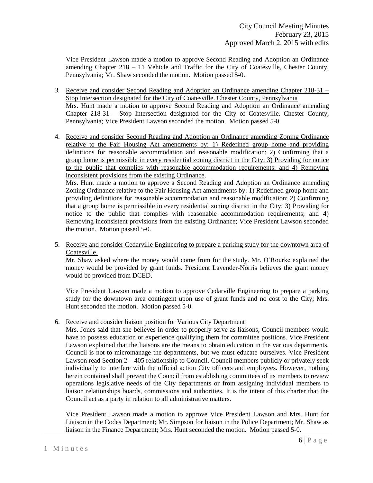Vice President Lawson made a motion to approve Second Reading and Adoption an Ordinance amending Chapter 218 – 11 Vehicle and Traffic for the City of Coatesville, Chester County, Pennsylvania; Mr. Shaw seconded the motion. Motion passed 5-0.

- *3.* Receive and consider Second Reading and Adoption an Ordinance amending Chapter 218-31 Stop Intersection designated for the City of Coatesville. Chester County, Pennsylvania Mrs. Hunt made a motion to approve Second Reading and Adoption an Ordinance amending Chapter 218-31 – Stop Intersection designated for the City of Coatesville. Chester County, Pennsylvania; Vice President Lawson seconded the motion. Motion passed 5-0.
- 4. Receive and consider Second Reading and Adoption an Ordinance amending Zoning Ordinance relative to the Fair Housing Act amendments by: 1) Redefined group home and providing definitions for reasonable accommodation and reasonable modification; 2) Confirming that a group home is permissible in every residential zoning district in the City; 3) Providing for notice to the public that complies with reasonable accommodation requirements; and 4) Removing inconsistent provisions from the existing Ordinance.

Mrs. Hunt made a motion to approve a Second Reading and Adoption an Ordinance amending Zoning Ordinance relative to the Fair Housing Act amendments by: 1) Redefined group home and providing definitions for reasonable accommodation and reasonable modification; 2) Confirming that a group home is permissible in every residential zoning district in the City; 3) Providing for notice to the public that complies with reasonable accommodation requirements; and 4) Removing inconsistent provisions from the existing Ordinance; Vice President Lawson seconded the motion. Motion passed 5-0.

5. Receive and consider Cedarville Engineering to prepare a parking study for the downtown area of Coatesville.

Mr. Shaw asked where the money would come from for the study. Mr. O'Rourke explained the money would be provided by grant funds. President Lavender-Norris believes the grant money would be provided from DCED.

Vice President Lawson made a motion to approve Cedarville Engineering to prepare a parking study for the downtown area contingent upon use of grant funds and no cost to the City; Mrs. Hunt seconded the motion. Motion passed 5-0.

6. Receive and consider liaison position for Various City Department

Mrs. Jones said that she believes in order to properly serve as liaisons, Council members would have to possess education or experience qualifying them for committee positions. Vice President Lawson explained that the liaisons are the means to obtain education in the various departments. Council is not to micromanage the departments, but we must educate ourselves. Vice President Lawson read Section 2 – 405 relationship to Council. Council members publicly or privately seek individually to interfere with the official action City officers and employees. However, nothing herein contained shall prevent the Council from establishing committees of its members to review operations legislative needs of the City departments or from assigning individual members to liaison relationships boards, commissions and authorities. It is the intent of this charter that the Council act as a party in relation to all administrative matters.

Vice President Lawson made a motion to approve Vice President Lawson and Mrs. Hunt for Liaison in the Codes Department; Mr. Simpson for liaison in the Police Department; Mr. Shaw as liaison in the Finance Department; Mrs. Hunt seconded the motion. Motion passed 5-0.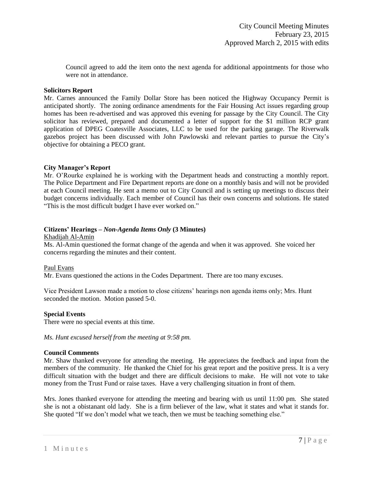Council agreed to add the item onto the next agenda for additional appointments for those who were not in attendance.

#### **Solicitors Report**

Mr. Carnes announced the Family Dollar Store has been noticed the Highway Occupancy Permit is anticipated shortly. The zoning ordinance amendments for the Fair Housing Act issues regarding group homes has been re-advertised and was approved this evening for passage by the City Council. The City solicitor has reviewed, prepared and documented a letter of support for the \$1 million RCP grant application of DPEG Coatesville Associates, LLC to be used for the parking garage. The Riverwalk gazebos project has been discussed with John Pawlowski and relevant parties to pursue the City's objective for obtaining a PECO grant.

### **City Manager's Report**

Mr. O'Rourke explained he is working with the Department heads and constructing a monthly report. The Police Department and Fire Department reports are done on a monthly basis and will not be provided at each Council meeting. He sent a memo out to City Council and is setting up meetings to discuss their budget concerns individually. Each member of Council has their own concerns and solutions. He stated "This is the most difficult budget I have ever worked on."

### **Citizens' Hearings –** *Non-Agenda Items Only* **(3 Minutes)**

Khadijah Al-Amin

Ms. Al-Amin questioned the format change of the agenda and when it was approved. She voiced her concerns regarding the minutes and their content.

### Paul Evans

Mr. Evans questioned the actions in the Codes Department. There are too many excuses.

Vice President Lawson made a motion to close citizens' hearings non agenda items only; Mrs. Hunt seconded the motion. Motion passed 5-0.

#### **Special Events**

There were no special events at this time.

*Ms. Hunt excused herself from the meeting at 9:58 pm.* 

### **Council Comments**

Mr. Shaw thanked everyone for attending the meeting. He appreciates the feedback and input from the members of the community. He thanked the Chief for his great report and the positive press. It is a very difficult situation with the budget and there are difficult decisions to make. He will not vote to take money from the Trust Fund or raise taxes. Have a very challenging situation in front of them.

Mrs. Jones thanked everyone for attending the meeting and bearing with us until 11:00 pm. She stated she is not a obistanant old lady. She is a firm believer of the law, what it states and what it stands for. She quoted "If we don't model what we teach, then we must be teaching something else."